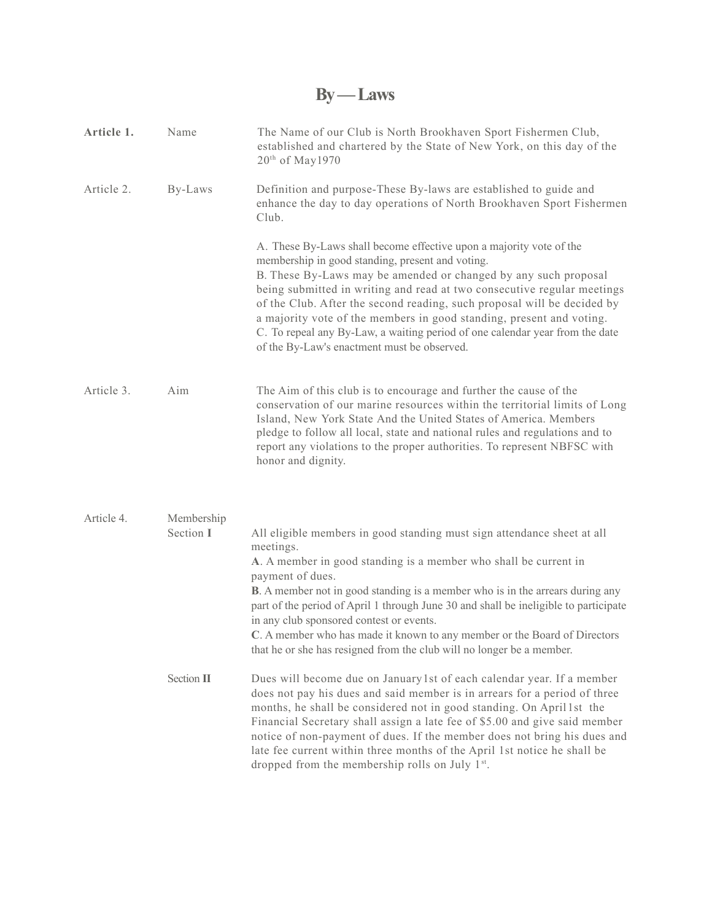## **By — Laws**

| Article 1. | Name                    | The Name of our Club is North Brookhaven Sport Fishermen Club,<br>established and chartered by the State of New York, on this day of the<br>20 <sup>th</sup> of May1970                                                                                                                                                                                                                                                                                                                                                                                         |
|------------|-------------------------|-----------------------------------------------------------------------------------------------------------------------------------------------------------------------------------------------------------------------------------------------------------------------------------------------------------------------------------------------------------------------------------------------------------------------------------------------------------------------------------------------------------------------------------------------------------------|
| Article 2. | By-Laws                 | Definition and purpose-These By-laws are established to guide and<br>enhance the day to day operations of North Brookhaven Sport Fishermen<br>Club.                                                                                                                                                                                                                                                                                                                                                                                                             |
|            |                         | A. These By-Laws shall become effective upon a majority vote of the<br>membership in good standing, present and voting.<br>B. These By-Laws may be amended or changed by any such proposal<br>being submitted in writing and read at two consecutive regular meetings<br>of the Club. After the second reading, such proposal will be decided by<br>a majority vote of the members in good standing, present and voting.<br>C. To repeal any By-Law, a waiting period of one calendar year from the date<br>of the By-Law's enactment must be observed.         |
| Article 3. | Aim                     | The Aim of this club is to encourage and further the cause of the<br>conservation of our marine resources within the territorial limits of Long<br>Island, New York State And the United States of America. Members<br>pledge to follow all local, state and national rules and regulations and to<br>report any violations to the proper authorities. To represent NBFSC with<br>honor and dignity.                                                                                                                                                            |
| Article 4. | Membership<br>Section I | All eligible members in good standing must sign attendance sheet at all<br>meetings.<br>A. A member in good standing is a member who shall be current in<br>payment of dues.<br><b>B</b> . A member not in good standing is a member who is in the arrears during any<br>part of the period of April 1 through June 30 and shall be ineligible to participate<br>in any club sponsored contest or events.<br>C. A member who has made it known to any member or the Board of Directors<br>that he or she has resigned from the club will no longer be a member. |
|            | Section II              | Dues will become due on January 1st of each calendar year. If a member<br>does not pay his dues and said member is in arrears for a period of three<br>months, he shall be considered not in good standing. On April 1st the<br>Financial Secretary shall assign a late fee of \$5.00 and give said member<br>notice of non-payment of dues. If the member does not bring his dues and<br>late fee current within three months of the April 1st notice he shall be<br>dropped from the membership rolls on July 1 <sup>st</sup> .                               |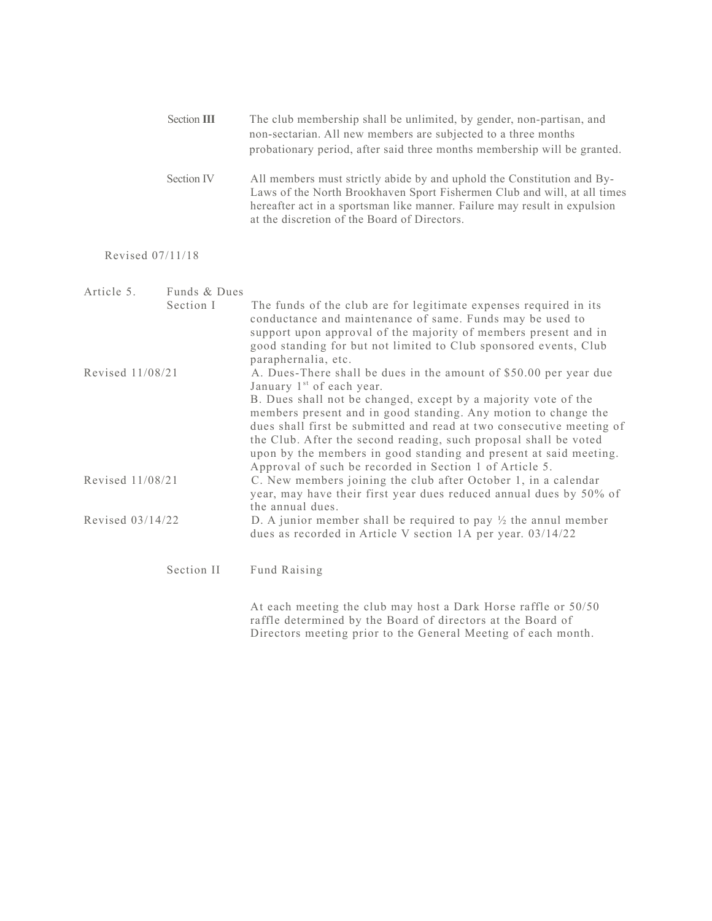|                  | Section III  | The club membership shall be unlimited, by gender, non-partisan, and<br>non-sectarian. All new members are subjected to a three months<br>probationary period, after said three months membership will be granted.                                                                                                                                                                                                                                                                                                         |
|------------------|--------------|----------------------------------------------------------------------------------------------------------------------------------------------------------------------------------------------------------------------------------------------------------------------------------------------------------------------------------------------------------------------------------------------------------------------------------------------------------------------------------------------------------------------------|
|                  | Section IV   | All members must strictly abide by and uphold the Constitution and By-<br>Laws of the North Brookhaven Sport Fishermen Club and will, at all times<br>hereafter act in a sportsman like manner. Failure may result in expulsion<br>at the discretion of the Board of Directors.                                                                                                                                                                                                                                            |
| Revised 07/11/18 |              |                                                                                                                                                                                                                                                                                                                                                                                                                                                                                                                            |
| Article 5.       | Funds & Dues |                                                                                                                                                                                                                                                                                                                                                                                                                                                                                                                            |
|                  | Section I    | The funds of the club are for legitimate expenses required in its<br>conductance and maintenance of same. Funds may be used to<br>support upon approval of the majority of members present and in<br>good standing for but not limited to Club sponsored events, Club<br>paraphernalia, etc.                                                                                                                                                                                                                               |
| Revised 11/08/21 |              | A. Dues-There shall be dues in the amount of \$50.00 per year due<br>January 1 <sup>st</sup> of each year.<br>B. Dues shall not be changed, except by a majority vote of the<br>members present and in good standing. Any motion to change the<br>dues shall first be submitted and read at two consecutive meeting of<br>the Club. After the second reading, such proposal shall be voted<br>upon by the members in good standing and present at said meeting.<br>Approval of such be recorded in Section 1 of Article 5. |
| Revised 11/08/21 |              | C. New members joining the club after October 1, in a calendar<br>year, may have their first year dues reduced annual dues by 50% of<br>the annual dues.                                                                                                                                                                                                                                                                                                                                                                   |
| Revised 03/14/22 |              | D. A junior member shall be required to pay $\frac{1}{2}$ the annul member<br>dues as recorded in Article V section 1A per year. 03/14/22                                                                                                                                                                                                                                                                                                                                                                                  |
|                  | Section II   | Fund Raising                                                                                                                                                                                                                                                                                                                                                                                                                                                                                                               |
|                  |              | At each meeting the club may host a Dark Horse raffle or 50/50<br>raffle determined by the Board of directors at the Board of<br>Directors meeting prior to the General Meeting of each month.                                                                                                                                                                                                                                                                                                                             |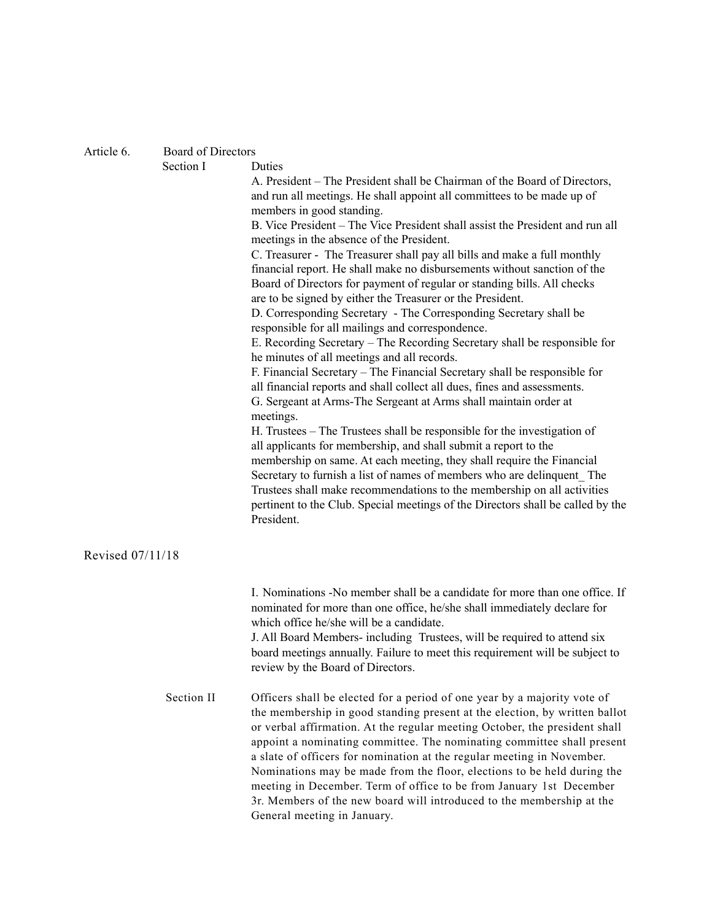## Article 6. Board of Directors

|                  | Section I  | Duties<br>A. President – The President shall be Chairman of the Board of Directors,<br>and run all meetings. He shall appoint all committees to be made up of<br>members in good standing.<br>B. Vice President – The Vice President shall assist the President and run all<br>meetings in the absence of the President.<br>C. Treasurer - The Treasurer shall pay all bills and make a full monthly<br>financial report. He shall make no disbursements without sanction of the<br>Board of Directors for payment of regular or standing bills. All checks<br>are to be signed by either the Treasurer or the President.<br>D. Corresponding Secretary - The Corresponding Secretary shall be<br>responsible for all mailings and correspondence.<br>E. Recording Secretary – The Recording Secretary shall be responsible for<br>he minutes of all meetings and all records.<br>F. Financial Secretary – The Financial Secretary shall be responsible for<br>all financial reports and shall collect all dues, fines and assessments.<br>G. Sergeant at Arms-The Sergeant at Arms shall maintain order at<br>meetings. |
|------------------|------------|--------------------------------------------------------------------------------------------------------------------------------------------------------------------------------------------------------------------------------------------------------------------------------------------------------------------------------------------------------------------------------------------------------------------------------------------------------------------------------------------------------------------------------------------------------------------------------------------------------------------------------------------------------------------------------------------------------------------------------------------------------------------------------------------------------------------------------------------------------------------------------------------------------------------------------------------------------------------------------------------------------------------------------------------------------------------------------------------------------------------------|
|                  |            | H. Trustees – The Trustees shall be responsible for the investigation of<br>all applicants for membership, and shall submit a report to the<br>membership on same. At each meeting, they shall require the Financial<br>Secretary to furnish a list of names of members who are delinquent The<br>Trustees shall make recommendations to the membership on all activities<br>pertinent to the Club. Special meetings of the Directors shall be called by the<br>President.                                                                                                                                                                                                                                                                                                                                                                                                                                                                                                                                                                                                                                               |
| Revised 07/11/18 |            |                                                                                                                                                                                                                                                                                                                                                                                                                                                                                                                                                                                                                                                                                                                                                                                                                                                                                                                                                                                                                                                                                                                          |
|                  |            | I. Nominations -No member shall be a candidate for more than one office. If<br>nominated for more than one office, he/she shall immediately declare for<br>which office he/she will be a candidate.<br>J. All Board Members- including Trustees, will be required to attend six<br>board meetings annually. Failure to meet this requirement will be subject to<br>review by the Board of Directors.                                                                                                                                                                                                                                                                                                                                                                                                                                                                                                                                                                                                                                                                                                                     |
|                  | Section II | Officers shall be elected for a period of one year by a majority vote of<br>the membership in good standing present at the election, by written ballot<br>or verbal affirmation. At the regular meeting October, the president shall<br>appoint a nominating committee. The nominating committee shall present<br>a slate of officers for nomination at the regular meeting in November.<br>Nominations may be made from the floor, elections to be held during the<br>meeting in December. Term of office to be from January 1st December<br>3r. Members of the new board will introduced to the membership at the<br>General meeting in January.                                                                                                                                                                                                                                                                                                                                                                                                                                                                       |